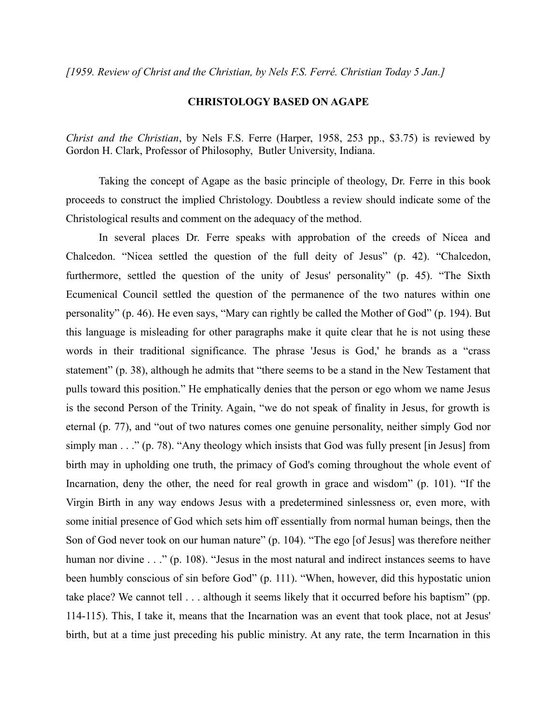*[1959. Review of Christ and the Christian, by Nels F.S. Ferré. Christian Today 5 Jan.]*

## **CHRISTOLOGY BASED ON AGAPE**

*Christ and the Christian*, by Nels F.S. Ferre (Harper, 1958, 253 pp., \$3.75) is reviewed by Gordon H. Clark, Professor of Philosophy, Butler University, Indiana.

Taking the concept of Agape as the basic principle of theology, Dr. Ferre in this book proceeds to construct the implied Christology. Doubtless a review should indicate some of the Christological results and comment on the adequacy of the method.

In several places Dr. Ferre speaks with approbation of the creeds of Nicea and Chalcedon. "Nicea settled the question of the full deity of Jesus" (p. 42). "Chalcedon, furthermore, settled the question of the unity of Jesus' personality" (p. 45). "The Sixth Ecumenical Council settled the question of the permanence of the two natures within one personality" (p. 46). He even says, "Mary can rightly be called the Mother of God" (p. 194). But this language is misleading for other paragraphs make it quite clear that he is not using these words in their traditional significance. The phrase 'Jesus is God,' he brands as a "crass statement" (p. 38), although he admits that "there seems to be a stand in the New Testament that pulls toward this position." He emphatically denies that the person or ego whom we name Jesus is the second Person of the Trinity. Again, "we do not speak of finality in Jesus, for growth is eternal (p. 77), and "out of two natures comes one genuine personality, neither simply God nor simply man . . ." (p. 78). "Any theology which insists that God was fully present [in Jesus] from birth may in upholding one truth, the primacy of God's coming throughout the whole event of Incarnation, deny the other, the need for real growth in grace and wisdom" (p. 101). "If the Virgin Birth in any way endows Jesus with a predetermined sinlessness or, even more, with some initial presence of God which sets him off essentially from normal human beings, then the Son of God never took on our human nature" (p. 104). "The ego [of Jesus] was therefore neither human nor divine . . ." (p. 108). "Jesus in the most natural and indirect instances seems to have been humbly conscious of sin before God" (p. 111). "When, however, did this hypostatic union take place? We cannot tell . . . although it seems likely that it occurred before his baptism" (pp. 114-115). This, I take it, means that the Incarnation was an event that took place, not at Jesus' birth, but at a time just preceding his public ministry. At any rate, the term Incarnation in this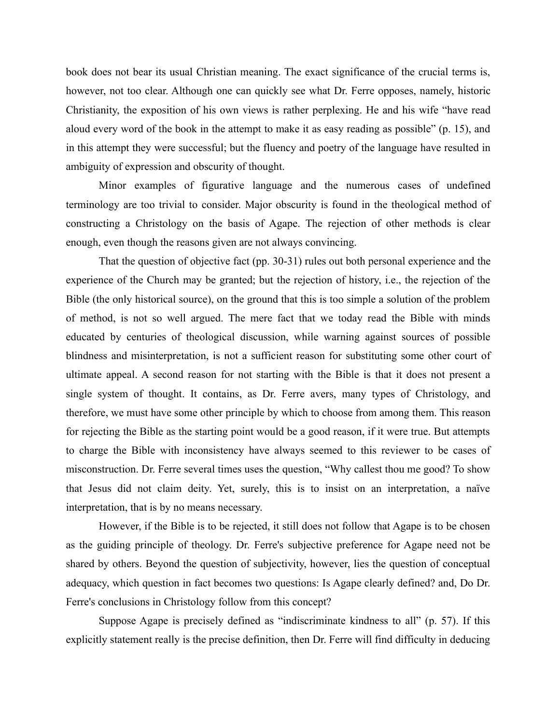book does not bear its usual Christian meaning. The exact significance of the crucial terms is, however, not too clear. Although one can quickly see what Dr. Ferre opposes, namely, historic Christianity, the exposition of his own views is rather perplexing. He and his wife "have read aloud every word of the book in the attempt to make it as easy reading as possible" (p. 15), and in this attempt they were successful; but the fluency and poetry of the language have resulted in ambiguity of expression and obscurity of thought.

Minor examples of figurative language and the numerous cases of undefined terminology are too trivial to consider. Major obscurity is found in the theological method of constructing a Christology on the basis of Agape. The rejection of other methods is clear enough, even though the reasons given are not always convincing.

That the question of objective fact (pp. 30-31) rules out both personal experience and the experience of the Church may be granted; but the rejection of history, i.e., the rejection of the Bible (the only historical source), on the ground that this is too simple a solution of the problem of method, is not so well argued. The mere fact that we today read the Bible with minds educated by centuries of theological discussion, while warning against sources of possible blindness and misinterpretation, is not a sufficient reason for substituting some other court of ultimate appeal. A second reason for not starting with the Bible is that it does not present a single system of thought. It contains, as Dr. Ferre avers, many types of Christology, and therefore, we must have some other principle by which to choose from among them. This reason for rejecting the Bible as the starting point would be a good reason, if it were true. But attempts to charge the Bible with inconsistency have always seemed to this reviewer to be cases of misconstruction. Dr. Ferre several times uses the question, "Why callest thou me good? To show that Jesus did not claim deity. Yet, surely, this is to insist on an interpretation, a naïve interpretation, that is by no means necessary.

However, if the Bible is to be rejected, it still does not follow that Agape is to be chosen as the guiding principle of theology. Dr. Ferre's subjective preference for Agape need not be shared by others. Beyond the question of subjectivity, however, lies the question of conceptual adequacy, which question in fact becomes two questions: Is Agape clearly defined? and, Do Dr. Ferre's conclusions in Christology follow from this concept?

Suppose Agape is precisely defined as "indiscriminate kindness to all" (p. 57). If this explicitly statement really is the precise definition, then Dr. Ferre will find difficulty in deducing